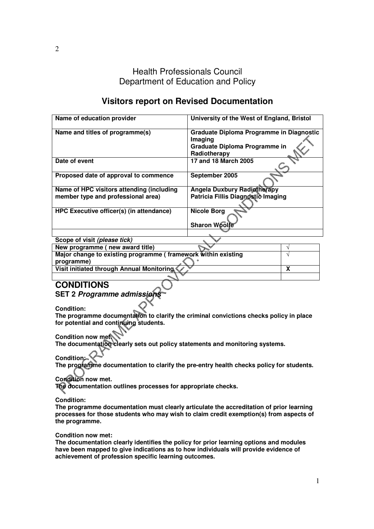Health Professionals Council Department of Education and Policy

# **Visitors report on Revised Documentation**

| Name of education provider                | University of the West of England, Bristol                                                           |
|-------------------------------------------|------------------------------------------------------------------------------------------------------|
| Name and titles of programme(s)           | Graduate Diploma Programme in Diagnostic<br>Imaging<br>Graduate Diploma Programme in<br>Radiotherapy |
| Date of event                             | 17 and 18 March 2005                                                                                 |
| Proposed date of approval to commence     | September 2005                                                                                       |
| Name of HPC visitors attending (including | <b>Angela Duxbury Radiotherapy</b>                                                                   |
| member type and professional area)        | Patricia Fillis Diagnostic Imaging                                                                   |
| HPC Executive officer(s) (in attendance)  | <b>Nicole Borg</b><br><b>Sharon Woolfe</b>                                                           |
|                                           |                                                                                                      |

| Scope of visit (please tick)                                  |  |
|---------------------------------------------------------------|--|
| New programme (new award title)                               |  |
| Major change to existing programme (framework within existing |  |
| programme)                                                    |  |
| Visit initiated through Annual Monitoring                     |  |
|                                                               |  |

# **CONDITIONS**

**SET 2 Programme admissions**

**Condition:** 

**The programme documentation to clarify the criminal convictions checks policy in place for potential and continuing students.** 

**Condition now met.** 

**The documentation clearly sets out policy statements and monitoring systems.**

# **Condition:**

**The programme documentation to clarify the pre-entry health checks policy for students.** 

## **Condition now met.**

**The documentation outlines processes for appropriate checks.** 

**Condition:** 

**The programme documentation must clearly articulate the accreditation of prior learning processes for those students who may wish to claim credit exemption(s) from aspects of the programme.** 

## **Condition now met:**

**The documentation clearly identifies the policy for prior learning options and modules have been mapped to give indications as to how individuals will provide evidence of achievement of profession specific learning outcomes.**